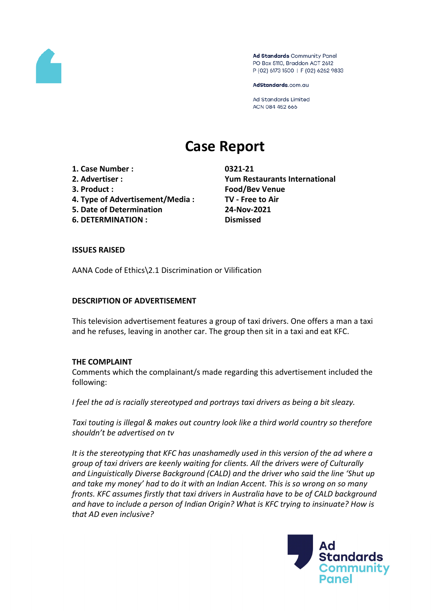

Ad Standards Community Panel PO Box 5110, Braddon ACT 2612 P (02) 6173 1500 | F (02) 6262 9833

AdStandards.com.au

**Ad Standards Limited** ACN 084 452 666

# **Case Report**

**1. Case Number : 0321-21**

- 
- 
- **4. Type of Advertisement/Media : TV - Free to Air**
- **5. Date of Determination 24-Nov-2021**
- **6. DETERMINATION : Dismissed**

**2. Advertiser : Yum Restaurants International 3. Product : Food/Bev Venue**

## **ISSUES RAISED**

AANA Code of Ethics\2.1 Discrimination or Vilification

## **DESCRIPTION OF ADVERTISEMENT**

This television advertisement features a group of taxi drivers. One offers a man a taxi and he refuses, leaving in another car. The group then sit in a taxi and eat KFC.

# **THE COMPLAINT**

Comments which the complainant/s made regarding this advertisement included the following:

*I feel the ad is racially stereotyped and portrays taxi drivers as being a bit sleazy.*

*Taxi touting is illegal & makes out country look like a third world country so therefore shouldn't be advertised on tv*

*It is the stereotyping that KFC has unashamedly used in this version of the ad where a group of taxi drivers are keenly waiting for clients. All the drivers were of Culturally and Linguistically Diverse Background (CALD) and the driver who said the line 'Shut up and take my money' had to do it with an Indian Accent. This is so wrong on so many fronts. KFC assumes firstly that taxi drivers in Australia have to be of CALD background and have to include a person of Indian Origin? What is KFC trying to insinuate? How is that AD even inclusive?*

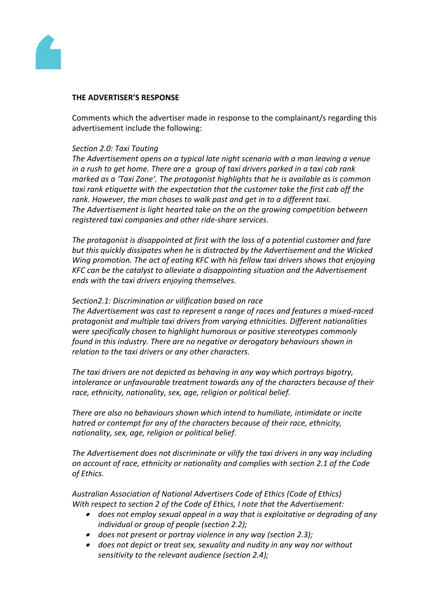

### **THE ADVERTISER'S RESPONSE**

Comments which the advertiser made in response to the complainant/s regarding this advertisement include the following:

#### *Section 2.0: Taxi Touting*

*The Advertisement opens on a typical late night scenario with a man leaving a venue in a rush to get home. There are a group of taxi drivers parked in a taxi cab rank marked as a 'Taxi Zone'. The protagonist highlights that he is available as is common taxi rank etiquette with the expectation that the customer take the first cab off the rank. However, the man choses to walk past and get in to a different taxi. The Advertisement is light hearted take on the on the growing competition between registered taxi companies and other ride-share services.*

*The protagonist is disappointed at first with the loss of a potential customer and fare but this quickly dissipates when he is distracted by the Advertisement and the Wicked Wing promotion. The act of eating KFC with his fellow taxi drivers shows that enjoying KFC can be the catalyst to alleviate a disappointing situation and the Advertisement ends with the taxi drivers enjoying themselves.*

#### *Section2.1: Discrimination or vilification based on race*

*The Advertisement was cast to represent a range of races and features a mixed-raced protagonist and multiple taxi drivers from varying ethnicities. Different nationalities were specifically chosen to highlight humorous or positive stereotypes commonly found in this industry. There are no negative or derogatory behaviours shown in relation to the taxi drivers or any other characters.*

*The taxi drivers are not depicted as behaving in any way which portrays bigotry, intolerance or unfavourable treatment towards any of the characters because of their race, ethnicity, nationality, sex, age, religion or political belief.*

*There are also no behaviours shown which intend to humiliate, intimidate or incite hatred or contempt for any of the characters because of their race, ethnicity, nationality, sex, age, religion or political belief.*

*The Advertisement does not discriminate or vilify the taxi drivers in any way including on account of race, ethnicity or nationality and complies with section 2.1 of the Code of Ethics.*

*Australian Association of National Advertisers Code of Ethics (Code of Ethics) With respect to section 2 of the Code of Ethics, I note that the Advertisement:*

- *does not employ sexual appeal in a way that is exploitative or degrading of any individual or group of people (section 2.2);*
- *does not present or portray violence in any way (section 2.3);*
- *does not depict or treat sex, sexuality and nudity in any way nor without sensitivity to the relevant audience (section 2.4);*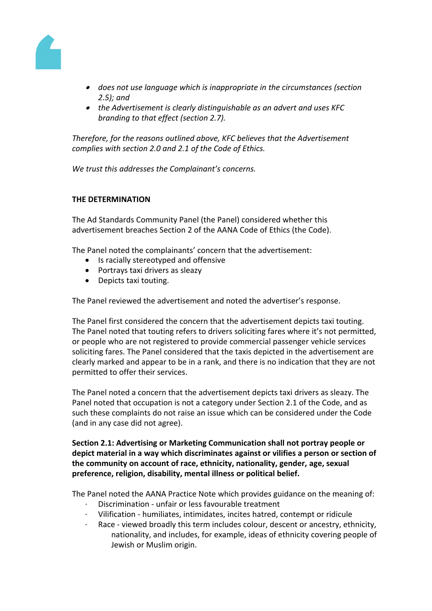

- *does not use language which is inappropriate in the circumstances (section 2.5); and*
- *the Advertisement is clearly distinguishable as an advert and uses KFC branding to that effect (section 2.7).*

*Therefore, for the reasons outlined above, KFC believes that the Advertisement complies with section 2.0 and 2.1 of the Code of Ethics.*

*We trust this addresses the Complainant's concerns.*

## **THE DETERMINATION**

The Ad Standards Community Panel (the Panel) considered whether this advertisement breaches Section 2 of the AANA Code of Ethics (the Code).

The Panel noted the complainants' concern that the advertisement:

- Is racially stereotyped and offensive
- Portrays taxi drivers as sleazy
- Depicts taxi touting.

The Panel reviewed the advertisement and noted the advertiser's response.

The Panel first considered the concern that the advertisement depicts taxi touting. The Panel noted that touting refers to drivers soliciting fares where it's not permitted, or people who are not registered to provide commercial passenger vehicle services soliciting fares. The Panel considered that the taxis depicted in the advertisement are clearly marked and appear to be in a rank, and there is no indication that they are not permitted to offer their services.

The Panel noted a concern that the advertisement depicts taxi drivers as sleazy. The Panel noted that occupation is not a category under Section 2.1 of the Code, and as such these complaints do not raise an issue which can be considered under the Code (and in any case did not agree).

**Section 2.1: Advertising or Marketing Communication shall not portray people or depict material in a way which discriminates against or vilifies a person or section of the community on account of race, ethnicity, nationality, gender, age, sexual preference, religion, disability, mental illness or political belief.**

The Panel noted the AANA Practice Note which provides guidance on the meaning of:

- · Discrimination unfair or less favourable treatment
- · Vilification humiliates, intimidates, incites hatred, contempt or ridicule
- Race viewed broadly this term includes colour, descent or ancestry, ethnicity, nationality, and includes, for example, ideas of ethnicity covering people of Jewish or Muslim origin.